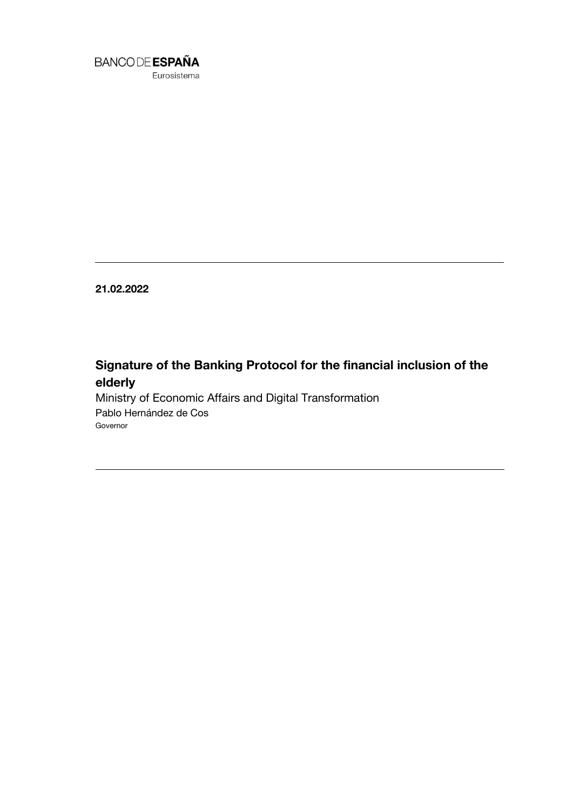

Eurosistema

**21.02.2022**

## **Signature of the Banking Protocol for the financial inclusion of the elderly**

Ministry of Economic Affairs and Digital Transformation Pablo Hernández de Cos Governor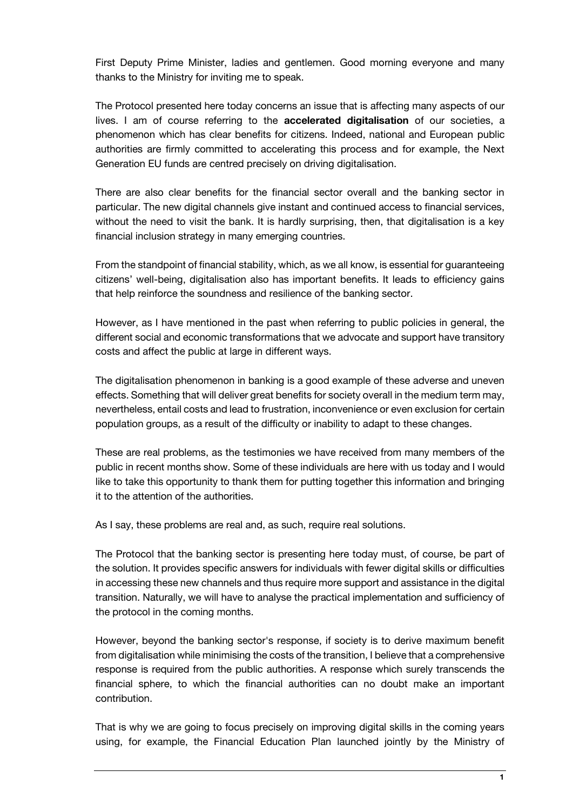First Deputy Prime Minister, ladies and gentlemen. Good morning everyone and many thanks to the Ministry for inviting me to speak.

The Protocol presented here today concerns an issue that is affecting many aspects of our lives. I am of course referring to the **accelerated digitalisation** of our societies, a phenomenon which has clear benefits for citizens. Indeed, national and European public authorities are firmly committed to accelerating this process and for example, the Next Generation EU funds are centred precisely on driving digitalisation.

There are also clear benefits for the financial sector overall and the banking sector in particular. The new digital channels give instant and continued access to financial services, without the need to visit the bank. It is hardly surprising, then, that digitalisation is a key financial inclusion strategy in many emerging countries.

From the standpoint of financial stability, which, as we all know, is essential for guaranteeing citizens' well-being, digitalisation also has important benefits. It leads to efficiency gains that help reinforce the soundness and resilience of the banking sector.

However, as I have mentioned in the past when referring to public policies in general, the different social and economic transformations that we advocate and support have transitory costs and affect the public at large in different ways.

The digitalisation phenomenon in banking is a good example of these adverse and uneven effects. Something that will deliver great benefits for society overall in the medium term may, nevertheless, entail costs and lead to frustration, inconvenience or even exclusion for certain population groups, as a result of the difficulty or inability to adapt to these changes.

These are real problems, as the testimonies we have received from many members of the public in recent months show. Some of these individuals are here with us today and I would like to take this opportunity to thank them for putting together this information and bringing it to the attention of the authorities.

As I say, these problems are real and, as such, require real solutions.

The Protocol that the banking sector is presenting here today must, of course, be part of the solution. It provides specific answers for individuals with fewer digital skills or difficulties in accessing these new channels and thus require more support and assistance in the digital transition. Naturally, we will have to analyse the practical implementation and sufficiency of the protocol in the coming months.

However, beyond the banking sector's response, if society is to derive maximum benefit from digitalisation while minimising the costs of the transition, I believe that a comprehensive response is required from the public authorities. A response which surely transcends the financial sphere, to which the financial authorities can no doubt make an important contribution.

That is why we are going to focus precisely on improving digital skills in the coming years using, for example, the Financial Education Plan launched jointly by the Ministry of